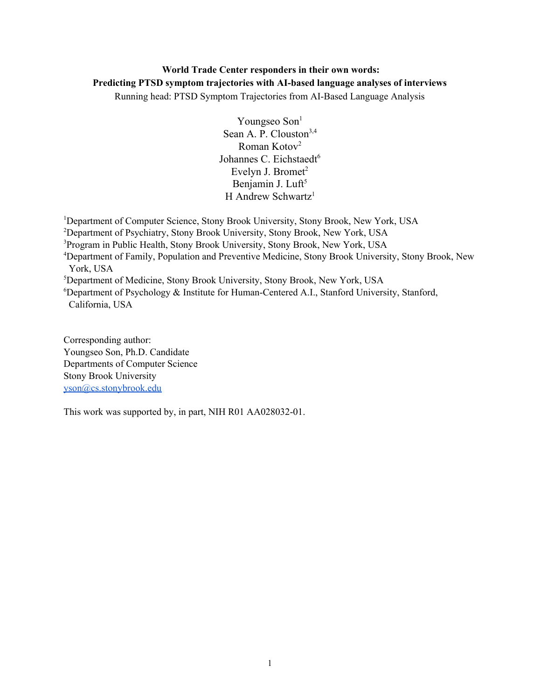# **World Trade Center responders in their own words: Predicting PTSD symptom trajectories with AI-based language analyses of interviews**

Running head: PTSD Symptom Trajectories from AI-Based Language Analysis

Youngseo Son<sup>1</sup> Sean A. P. Clouston<sup>3,4</sup> Roman Kotov<sup>2</sup> Johannes C. Eichstaedt<sup>6</sup> Evelyn J. Bromet $2$ Benjamin J. Luft<sup>5</sup> H Andrew Schwartz<sup>1</sup>

<sup>1</sup>Department of Computer Science, Stony Brook University, Stony Brook, New York, USA

<sup>2</sup>Department of Psychiatry, Stony Brook University, Stony Brook, New York, USA

<sup>3</sup>Program in Public Health, Stony Brook University, Stony Brook, New York, USA

<sup>4</sup>Department of Family, Population and Preventive Medicine, Stony Brook University, Stony Brook, New York, USA

<sup>5</sup>Department of Medicine, Stony Brook University, Stony Brook, New York, USA

 $6D$ epartment of Psychology & Institute for Human-Centered A.I., Stanford University, Stanford, California, USA

Corresponding author: Youngseo Son, Ph.D. Candidate Departments of Computer Science Stony Brook University [yson@cs.stonybrook.edu](mailto:yson@cs.stonybrook.edu)

This work was supported by, in part, NIH R01 AA028032-01.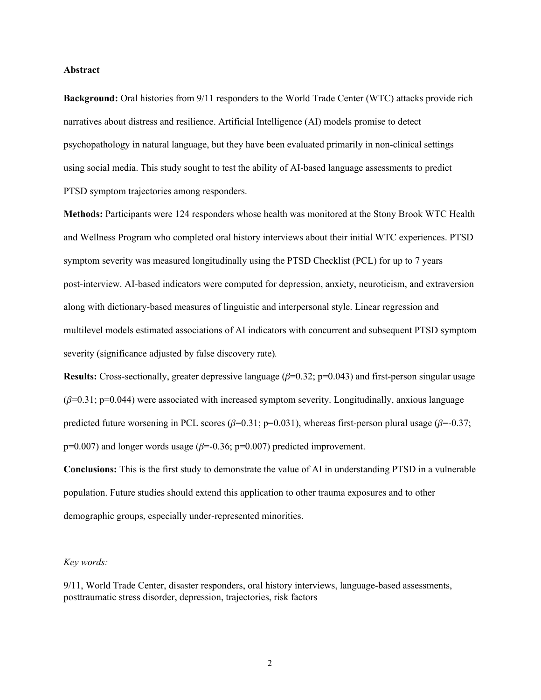#### **Abstract**

**Background:** Oral histories from 9/11 responders to the World Trade Center (WTC) attacks provide rich narratives about distress and resilience. Artificial Intelligence (AI) models promise to detect psychopathology in natural language, but they have been evaluated primarily in non-clinical settings using social media. This study sought to test the ability of AI-based language assessments to predict PTSD symptom trajectories among responders.

**Methods:** Participants were 124 responders whose health was monitored at the Stony Brook WTC Health and Wellness Program who completed oral history interviews about their initial WTC experiences. PTSD symptom severity was measured longitudinally using the PTSD Checklist (PCL) for up to 7 years post-interview. AI-based indicators were computed for depression, anxiety, neuroticism, and extraversion along with dictionary-based measures of linguistic and interpersonal style. Linear regression and multilevel models estimated associations of AI indicators with concurrent and subsequent PTSD symptom severity (significance adjusted by false discovery rate)*.*

**Results:** Cross-sectionally, greater depressive language  $(\beta=0.32; \mathbf{p}=0.043)$  and first-person singular usage  $(\beta=0.31; p=0.044)$  were associated with increased symptom severity. Longitudinally, anxious language predicted future worsening in PCL scores ( $\beta$ =0.31; p=0.031), whereas first-person plural usage ( $\beta$ =-0.37;  $p=0.007$ ) and longer words usage ( $\beta=-0.36$ ;  $p=0.007$ ) predicted improvement.

**Conclusions:** This is the first study to demonstrate the value of AI in understanding PTSD in a vulnerable population. Future studies should extend this application to other trauma exposures and to other demographic groups, especially under-represented minorities.

#### *Key words:*

9/11, World Trade Center, disaster responders, oral history interviews, language-based assessments, posttraumatic stress disorder, depression, trajectories, risk factors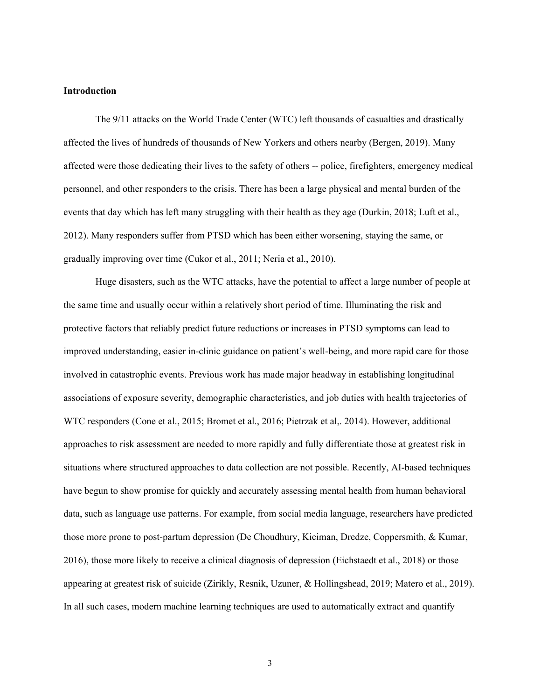#### **Introduction**

The 9/11 attacks on the World Trade Center (WTC) left thousands of casualties and drastically affected the lives of hundreds of thousands of New Yorkers and others nearby (Bergen, 2019). Many affected were those dedicating their lives to the safety of others -- police, firefighters, emergency medical personnel, and other responders to the crisis. There has been a large physical and mental burden of the events that day which has left many struggling with their health as they age (Durkin, 2018; Luft et al., 2012). Many responders suffer from PTSD which has been either worsening, staying the same, or gradually improving over time (Cukor et al., 2011; Neria et al., 2010).

Huge disasters, such as the WTC attacks, have the potential to affect a large number of people at the same time and usually occur within a relatively short period of time. Illuminating the risk and protective factors that reliably predict future reductions or increases in PTSD symptoms can lead to improved understanding, easier in-clinic guidance on patient's well-being, and more rapid care for those involved in catastrophic events. Previous work has made major headway in establishing longitudinal associations of exposure severity, demographic characteristics, and job duties with health trajectories of WTC responders (Cone et al., 2015; Bromet et al., 2016; Pietrzak et al,. 2014). However, additional approaches to risk assessment are needed to more rapidly and fully differentiate those at greatest risk in situations where structured approaches to data collection are not possible. Recently, AI-based techniques have begun to show promise for quickly and accurately assessing mental health from human behavioral data, such as language use patterns. For example, from social media language, researchers have predicted those more prone to post-partum depression (De Choudhury, Kiciman, Dredze, Coppersmith, & Kumar, 2016), those more likely to receive a clinical diagnosis of depression (Eichstaedt et al., 2018) or those appearing at greatest risk of suicide (Zirikly, Resnik, Uzuner, & Hollingshead, 2019; Matero et al., 2019). In all such cases, modern machine learning techniques are used to automatically extract and quantify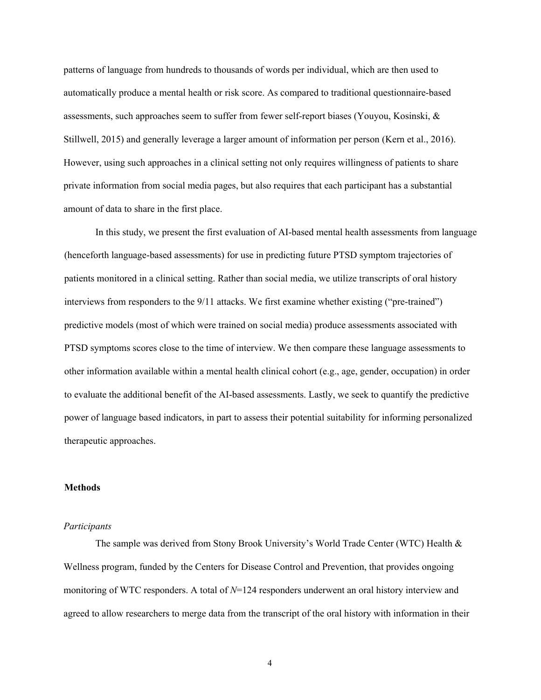patterns of language from hundreds to thousands of words per individual, which are then used to automatically produce a mental health or risk score. As compared to traditional questionnaire-based assessments, such approaches seem to suffer from fewer self-report biases (Youyou, Kosinski, & Stillwell, 2015) and generally leverage a larger amount of information per person (Kern et al., 2016). However, using such approaches in a clinical setting not only requires willingness of patients to share private information from social media pages, but also requires that each participant has a substantial amount of data to share in the first place.

In this study, we present the first evaluation of AI-based mental health assessments from language (henceforth language-based assessments) for use in predicting future PTSD symptom trajectories of patients monitored in a clinical setting. Rather than social media, we utilize transcripts of oral history interviews from responders to the 9/11 attacks. We first examine whether existing ("pre-trained") predictive models (most of which were trained on social media) produce assessments associated with PTSD symptoms scores close to the time of interview. We then compare these language assessments to other information available within a mental health clinical cohort (e.g., age, gender, occupation) in order to evaluate the additional benefit of the AI-based assessments. Lastly, we seek to quantify the predictive power of language based indicators, in part to assess their potential suitability for informing personalized therapeutic approaches.

#### **Methods**

#### *Participants*

The sample was derived from Stony Brook University's World Trade Center (WTC) Health  $\&$ Wellness program, funded by the Centers for Disease Control and Prevention, that provides ongoing monitoring of WTC responders. A total of *N*=124 responders underwent an oral history interview and agreed to allow researchers to merge data from the transcript of the oral history with information in their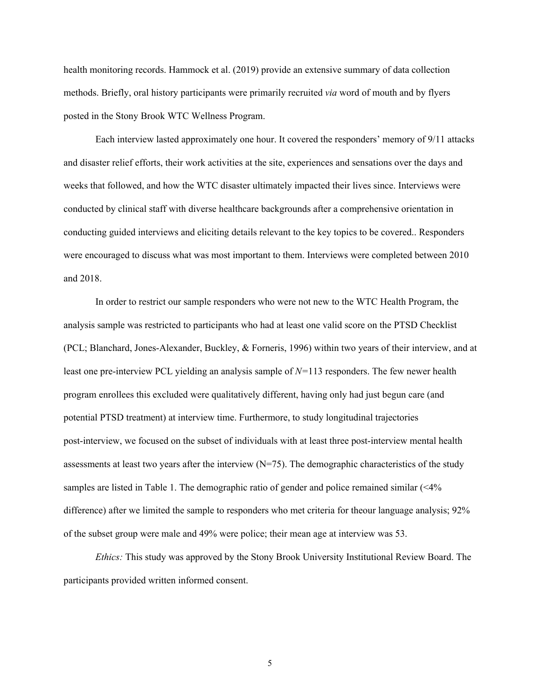health monitoring records. Hammock et al. (2019) provide an extensive summary of data collection methods. Briefly, oral history participants were primarily recruited *via* word of mouth and by flyers posted in the Stony Brook WTC Wellness Program.

Each interview lasted approximately one hour. It covered the responders' memory of 9/11 attacks and disaster relief efforts, their work activities at the site, experiences and sensations over the days and weeks that followed, and how the WTC disaster ultimately impacted their lives since. Interviews were conducted by clinical staff with diverse healthcare backgrounds after a comprehensive orientation in conducting guided interviews and eliciting details relevant to the key topics to be covered.. Responders were encouraged to discuss what was most important to them. Interviews were completed between 2010 and 2018.

In order to restrict our sample responders who were not new to the WTC Health Program, the analysis sample was restricted to participants who had at least one valid score on the PTSD Checklist (PCL; Blanchard, Jones-Alexander, Buckley, & Forneris, 1996) within two years of their interview, and at least one pre-interview PCL yielding an analysis sample of *N=*113 responders. The few newer health program enrollees this excluded were qualitatively different, having only had just begun care (and potential PTSD treatment) at interview time. Furthermore, to study longitudinal trajectories post-interview, we focused on the subset of individuals with at least three post-interview mental health assessments at least two years after the interview  $(N=75)$ . The demographic characteristics of the study samples are listed in Table 1. The demographic ratio of gender and police remained similar (<4% difference) after we limited the sample to responders who met criteria for theour language analysis; 92% of the subset group were male and 49% were police; their mean age at interview was 53.

*Ethics:* This study was approved by the Stony Brook University Institutional Review Board. The participants provided written informed consent.

5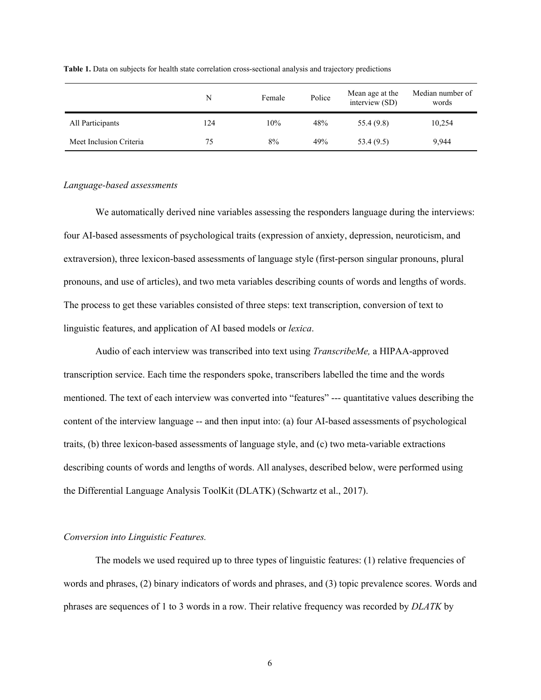|                         | N   | Female | Police | Mean age at the<br>interview (SD) | Median number of<br>words |
|-------------------------|-----|--------|--------|-----------------------------------|---------------------------|
| All Participants        | 124 | 10%    | 48%    | 55.4 (9.8)                        | 10,254                    |
| Meet Inclusion Criteria | 75  | 8%     | 49%    | 53.4(9.5)                         | 9,944                     |

**Table 1.** Data on subjects for health state correlation cross-sectional analysis and trajectory predictions

## *Language-based assessments*

We automatically derived nine variables assessing the responders language during the interviews: four AI-based assessments of psychological traits (expression of anxiety, depression, neuroticism, and extraversion), three lexicon-based assessments of language style (first-person singular pronouns, plural pronouns, and use of articles), and two meta variables describing counts of words and lengths of words. The process to get these variables consisted of three steps: text transcription, conversion of text to linguistic features, and application of AI based models or *lexica*.

Audio of each interview was transcribed into text using *TranscribeMe,* a HIPAA-approved transcription service. Each time the responders spoke, transcribers labelled the time and the words mentioned. The text of each interview was converted into "features" --- quantitative values describing the content of the interview language -- and then input into: (a) four AI-based assessments of psychological traits, (b) three lexicon-based assessments of language style, and (c) two meta-variable extractions describing counts of words and lengths of words. All analyses, described below, were performed using the Differential Language Analysis ToolKit (DLATK) (Schwartz et al., 2017).

## *Conversion into Linguistic Features.*

The models we used required up to three types of linguistic features: (1) relative frequencies of words and phrases, (2) binary indicators of words and phrases, and (3) topic prevalence scores. Words and phrases are sequences of 1 to 3 words in a row. Their relative frequency was recorded by *DLATK* by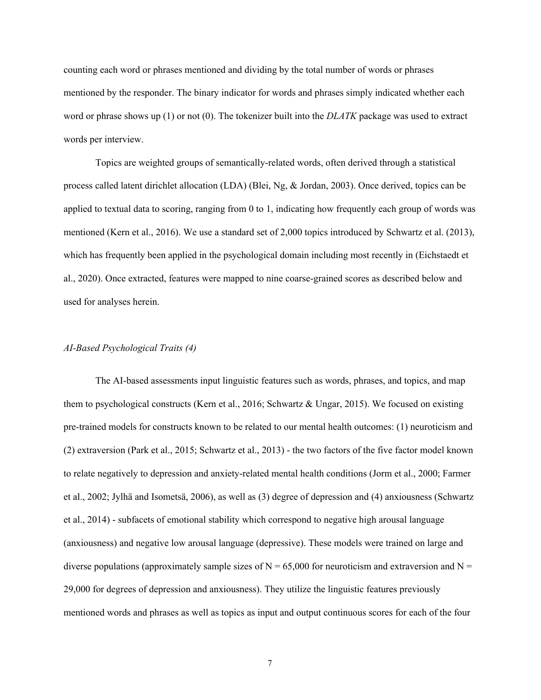counting each word or phrases mentioned and dividing by the total number of words or phrases mentioned by the responder. The binary indicator for words and phrases simply indicated whether each word or phrase shows up (1) or not (0). The tokenizer built into the *DLATK* package was used to extract words per interview.

Topics are weighted groups of semantically-related words, often derived through a statistical process called latent dirichlet allocation (LDA) (Blei, Ng, & Jordan, 2003). Once derived, topics can be applied to textual data to scoring, ranging from 0 to 1, indicating how frequently each group of words was mentioned (Kern et al., 2016). We use a standard set of 2,000 topics introduced by Schwartz et al. (2013), which has frequently been applied in the psychological domain including most recently in (Eichstaedt et al., 2020). Once extracted, features were mapped to nine coarse-grained scores as described below and used for analyses herein.

## *AI-Based Psychological Traits (4)*

The AI-based assessments input linguistic features such as words, phrases, and topics, and map them to psychological constructs (Kern et al., 2016; Schwartz & Ungar, 2015). We focused on existing pre-trained models for constructs known to be related to our mental health outcomes: (1) neuroticism and (2) extraversion (Park et al., 2015; Schwartz et al., 2013) - the two factors of the five factor model known to relate negatively to depression and anxiety-related mental health conditions (Jorm et al., 2000; Farmer et al., 2002; Jylhä and Isometsä, 2006), as well as (3) degree of depression and (4) anxiousness (Schwartz et al., 2014) - subfacets of emotional stability which correspond to negative high arousal language (anxiousness) and negative low arousal language (depressive). These models were trained on large and diverse populations (approximately sample sizes of  $N = 65,000$  for neuroticism and extraversion and  $N =$ 29,000 for degrees of depression and anxiousness). They utilize the linguistic features previously mentioned words and phrases as well as topics as input and output continuous scores for each of the four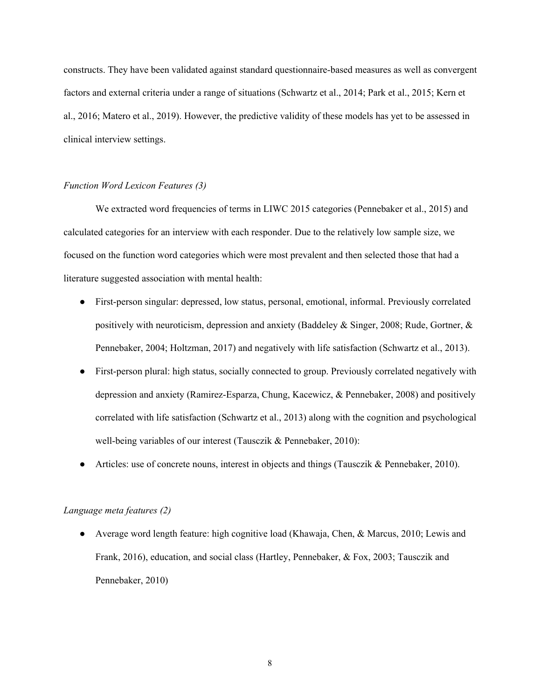constructs. They have been validated against standard questionnaire-based measures as well as convergent factors and external criteria under a range of situations (Schwartz et al., 2014; Park et al., 2015; Kern et al., 2016; Matero et al., 2019). However, the predictive validity of these models has yet to be assessed in clinical interview settings.

#### *Function Word Lexicon Features (3)*

We extracted word frequencies of terms in LIWC 2015 categories (Pennebaker et al., 2015) and calculated categories for an interview with each responder. Due to the relatively low sample size, we focused on the function word categories which were most prevalent and then selected those that had a literature suggested association with mental health:

- First-person singular: depressed, low status, personal, emotional, informal. Previously correlated positively with neuroticism, depression and anxiety (Baddeley & Singer, 2008; Rude, Gortner,  $\&$ Pennebaker, 2004; Holtzman, 2017) and negatively with life satisfaction (Schwartz et al., 2013).
- First-person plural: high status, socially connected to group. Previously correlated negatively with depression and anxiety (Ramirez-Esparza, Chung, Kacewicz, & Pennebaker, 2008) and positively correlated with life satisfaction (Schwartz et al., 2013) along with the cognition and psychological well-being variables of our interest (Tausczik & Pennebaker, 2010):
- Articles: use of concrete nouns, interest in objects and things (Tausczik & Pennebaker, 2010).

## *Language meta features (2)*

● Average word length feature: high cognitive load (Khawaja, Chen, & Marcus, 2010; Lewis and Frank, 2016), education, and social class (Hartley, Pennebaker, & Fox, 2003; Tausczik and Pennebaker, 2010)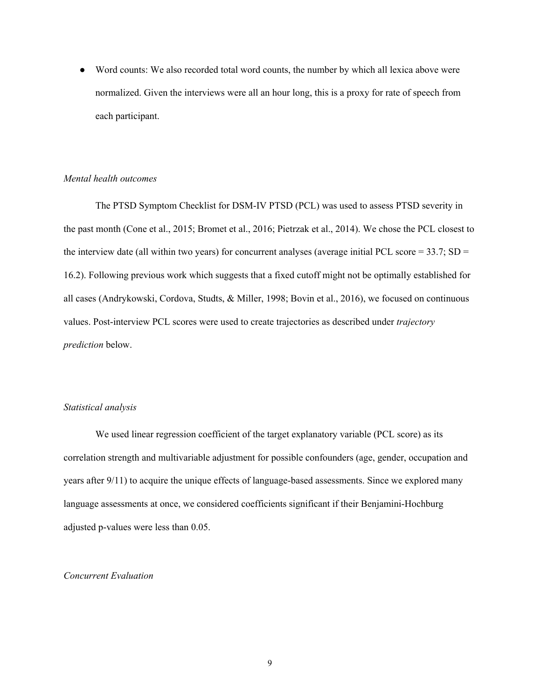• Word counts: We also recorded total word counts, the number by which all lexica above were normalized. Given the interviews were all an hour long, this is a proxy for rate of speech from each participant.

## *Mental health outcomes*

The PTSD Symptom Checklist for DSM-IV PTSD (PCL) was used to assess PTSD severity in the past month (Cone et al., 2015; Bromet et al., 2016; Pietrzak et al., 2014). We chose the PCL closest to the interview date (all within two years) for concurrent analyses (average initial PCL score =  $33.7$ ; SD = 16.2). Following previous work which suggests that a fixed cutoff might not be optimally established for all cases (Andrykowski, Cordova, Studts, & Miller, 1998; Bovin et al., 2016), we focused on continuous values. Post-interview PCL scores were used to create trajectories as described under *trajectory prediction* below.

## *Statistical analysis*

We used linear regression coefficient of the target explanatory variable (PCL score) as its correlation strength and multivariable adjustment for possible confounders (age, gender, occupation and years after 9/11) to acquire the unique effects of language-based assessments. Since we explored many language assessments at once, we considered coefficients significant if their Benjamini-Hochburg adjusted p-values were less than 0.05.

## *Concurrent Evaluation*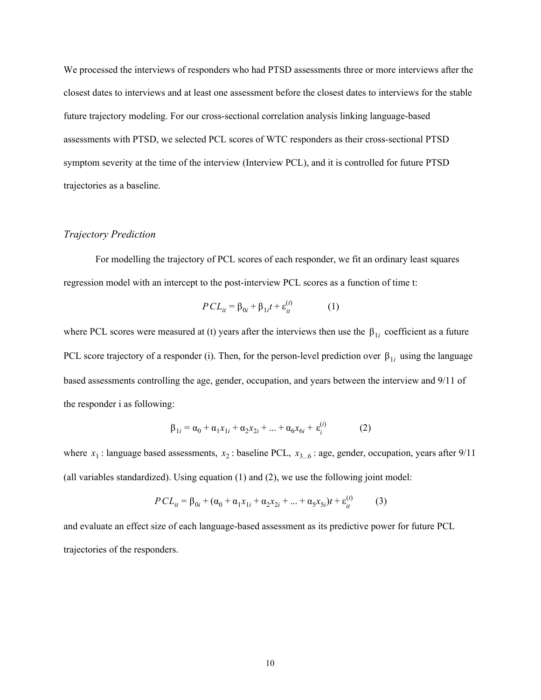We processed the interviews of responders who had PTSD assessments three or more interviews after the closest dates to interviews and at least one assessment before the closest dates to interviews for the stable future trajectory modeling. For our cross-sectional correlation analysis linking language-based assessments with PTSD, we selected PCL scores of WTC responders as their cross-sectional PTSD symptom severity at the time of the interview (Interview PCL), and it is controlled for future PTSD trajectories as a baseline.

## *Trajectory Prediction*

For modelling the trajectory of PCL scores of each responder, we fit an ordinary least squares regression model with an intercept to the post-interview PCL scores as a function of time t:

$$
PCL_{it} = \beta_{0i} + \beta_{1i}t + \varepsilon_{it}^{(t)}
$$
 (1)

where PCL scores were measured at (t) years after the interviews then use the  $\beta_{1i}$  coefficient as a future PCL score trajectory of a responder (i). Then, for the person-level prediction over  $\beta_{1i}$  using the language based assessments controlling the age, gender, occupation, and years between the interview and 9/11 of the responder i as following:

$$
\beta_{1i} = \alpha_0 + \alpha_1 x_{1i} + \alpha_2 x_{2i} + \dots + \alpha_6 x_{6i} + \varepsilon_i^{(i)}
$$
 (2)

where  $x_1$ : language based assessments,  $x_2$ : baseline PCL,  $x_{3...6}$ : age, gender, occupation, years after 9/11 (all variables standardized). Using equation (1) and (2), we use the following joint model:

$$
PCL_{it} = \beta_{0i} + (\alpha_0 + \alpha_1 x_{1i} + \alpha_2 x_{2i} + \dots + \alpha_5 x_{5i})t + \varepsilon_{it}^{(t)}
$$
(3)

and evaluate an effect size of each language-based assessment as its predictive power for future PCL trajectories of the responders.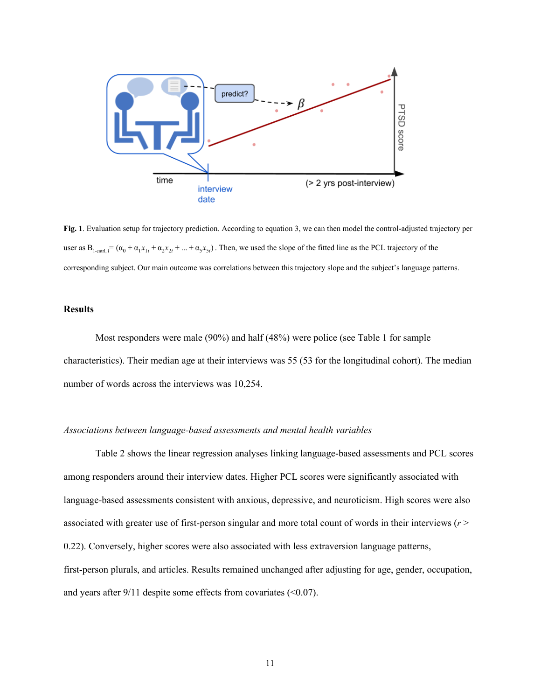

**Fig. 1**. Evaluation setup for trajectory prediction. According to equation 3, we can then model the control-adjusted trajectory per user as  $B_{1\text{-cnrt}, i} = (\alpha_0 + \alpha_1 x_{1i} + \alpha_2 x_{2i} + ... + \alpha_5 x_{5i})$ . Then, we used the slope of the fitted line as the PCL trajectory of the corresponding subject. Our main outcome was correlations between this trajectory slope and the subject's language patterns.

## **Results**

Most responders were male (90%) and half (48%) were police (see Table 1 for sample characteristics). Their median age at their interviews was 55 (53 for the longitudinal cohort). The median number of words across the interviews was 10,254.

#### *Associations between language-based assessments and mental health variables*

Table 2 shows the linear regression analyses linking language-based assessments and PCL scores among responders around their interview dates. Higher PCL scores were significantly associated with language-based assessments consistent with anxious, depressive, and neuroticism. High scores were also associated with greater use of first-person singular and more total count of words in their interviews (*r* > 0.22). Conversely, higher scores were also associated with less extraversion language patterns, first-person plurals, and articles. Results remained unchanged after adjusting for age, gender, occupation, and years after  $9/11$  despite some effects from covariates (<0.07).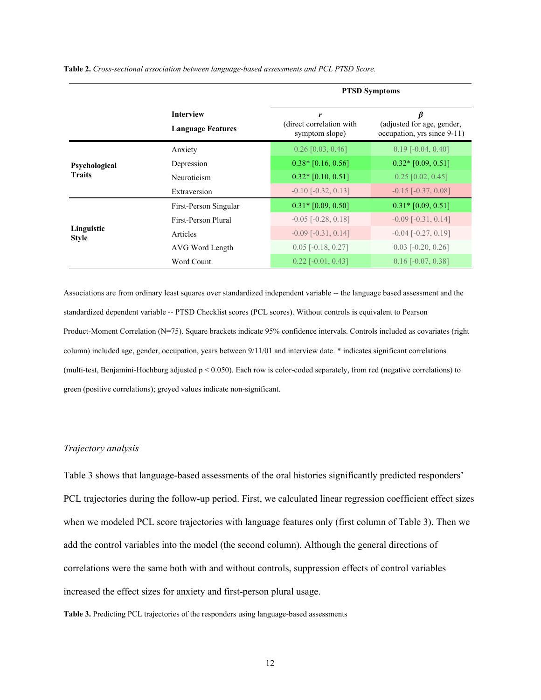**Table 2.** *Cross-sectional association between language-based assessments and PCL PTSD Score.*

|                                |                                              | <b>PTSD Symptoms</b>                            |                                                                |  |  |
|--------------------------------|----------------------------------------------|-------------------------------------------------|----------------------------------------------------------------|--|--|
|                                | <b>Interview</b><br><b>Language Features</b> | r<br>(direct correlation with<br>symptom slope) | β<br>(adjusted for age, gender,<br>occupation, yrs since 9-11) |  |  |
|                                | Anxiety                                      | $0.26$ [0.03, 0.46]                             | $0.19$ [ $-0.04$ , $0.40$ ]                                    |  |  |
| Psychological<br><b>Traits</b> | Depression                                   | $0.38*$ [0.16, 0.56]                            | $0.32$ * [0.09, 0.51]                                          |  |  |
|                                | Neuroticism                                  | $0.32*$ [0.10, 0.51]                            | $0.25$ [0.02, 0.45]                                            |  |  |
|                                | Extraversion                                 | $-0.10$ $[-0.32, 0.13]$                         | $-0.15$ [ $-0.37, 0.08$ ]                                      |  |  |
|                                | First-Person Singular                        | $0.31*$ [0.09, 0.50]                            | $0.31*$ [0.09, 0.51]                                           |  |  |
|                                | First-Person Plural                          | $-0.05$ $[-0.28, 0.18]$                         | $-0.09$ $[-0.31, 0.14]$                                        |  |  |
| Linguistic<br><b>Style</b>     | Articles                                     | $-0.09$ $[-0.31, 0.14]$                         | $-0.04$ $[-0.27, 0.19]$                                        |  |  |
|                                | AVG Word Length                              | $0.05$ [-0.18, 0.27]                            | $0.03$ [ $-0.20$ , $0.26$ ]                                    |  |  |
|                                | Word Count                                   | $0.22$ [-0.01, 0.43]                            | $0.16$ [ $-0.07, 0.38$ ]                                       |  |  |

Associations are from ordinary least squares over standardized independent variable -- the language based assessment and the standardized dependent variable -- PTSD Checklist scores (PCL scores). Without controls is equivalent to Pearson Product-Moment Correlation (N=75). Square brackets indicate 95% confidence intervals. Controls included as covariates (right column) included age, gender, occupation, years between 9/11/01 and interview date. \* indicates significant correlations (multi-test, Benjamini-Hochburg adjusted p < 0.050). Each row is color-coded separately, from red (negative correlations) to green (positive correlations); greyed values indicate non-significant.

## *Trajectory analysis*

Table 3 shows that language-based assessments of the oral histories significantly predicted responders' PCL trajectories during the follow-up period. First, we calculated linear regression coefficient effect sizes when we modeled PCL score trajectories with language features only (first column of Table 3). Then we add the control variables into the model (the second column). Although the general directions of correlations were the same both with and without controls, suppression effects of control variables increased the effect sizes for anxiety and first-person plural usage.

**Table 3.** Predicting PCL trajectories of the responders using language-based assessments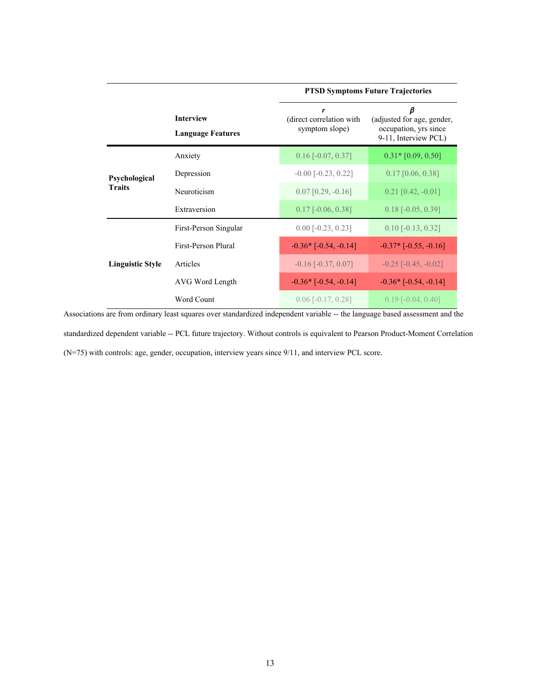|                         |                                              | <b>PTSD Symptoms Future Trajectories</b>        |                                                                                  |  |  |  |
|-------------------------|----------------------------------------------|-------------------------------------------------|----------------------------------------------------------------------------------|--|--|--|
|                         | <b>Interview</b><br><b>Language Features</b> | r<br>(direct correlation with<br>symptom slope) | β<br>(adjusted for age, gender,<br>occupation, yrs since<br>9-11, Interview PCL) |  |  |  |
|                         | Anxiety                                      | $0.16$ [ $-0.07, 0.37$ ]                        | $0.31*$ [0.09, 0.50]                                                             |  |  |  |
| Psychological           | Depression                                   | $-0.00$ $[-0.23, 0.22]$                         | $0.17$ [0.06, 0.38]                                                              |  |  |  |
| <b>Traits</b>           | Neuroticism                                  | $0.07$ [0.29, $-0.16$ ]                         | $0.21$ [0.42, -0.01]                                                             |  |  |  |
|                         | Extraversion                                 | $0.17$ [ $-0.06$ , $0.38$ ]                     | $0.18$ [ $-0.05$ , $0.39$ ]                                                      |  |  |  |
|                         | First-Person Singular                        | $0.00$ [ $-0.23$ , $0.23$ ]                     | $0.10$ [-0.13, 0.32]                                                             |  |  |  |
| <b>Linguistic Style</b> | First-Person Plural                          | $-0.36*$ $[-0.54, -0.14]$                       | $-0.37*$ $[-0.55, -0.16]$                                                        |  |  |  |
|                         | Articles                                     | $-0.16$ $[-0.37, 0.07]$                         | $-0.25$ $[-0.45, -0.02]$                                                         |  |  |  |
|                         | AVG Word Length                              | $-0.36*$ $[-0.54, -0.14]$                       | $-0.36*$ $[-0.54, -0.14]$                                                        |  |  |  |
|                         | Word Count                                   | $0.06$ [ $-0.17, 0.28$ ]                        | $0.19$ [ $-0.04$ , $0.40$ ]                                                      |  |  |  |

Associations are from ordinary least squares over standardized independent variable -- the language based assessment and the standardized dependent variable -- PCL future trajectory. Without controls is equivalent to Pearson Product-Moment Correlation (N=75) with controls: age, gender, occupation, interview years since 9/11, and interview PCL score.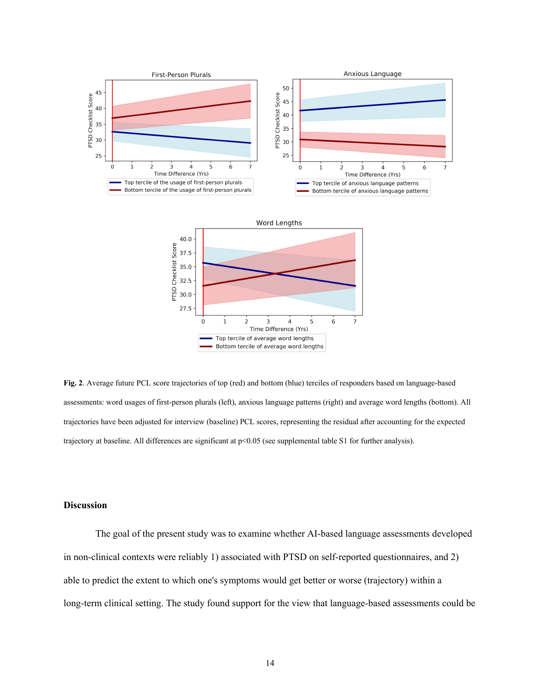

**Fig. 2**. Average future PCL score trajectories of top (red) and bottom (blue) terciles of responders based on language-based assessments: word usages of first-person plurals (left), anxious language patterns (right) and average word lengths (bottom). All trajectories have been adjusted for interview (baseline) PCL scores, representing the residual after accounting for the expected trajectory at baseline. All differences are significant at p<0.05 (see supplemental table S1 for further analysis).

## **Discussion**

The goal of the present study was to examine whether AI-based language assessments developed in non-clinical contexts were reliably 1) associated with PTSD on self-reported questionnaires, and 2) able to predict the extent to which one's symptoms would get better or worse (trajectory) within a long-term clinical setting. The study found support for the view that language-based assessments could be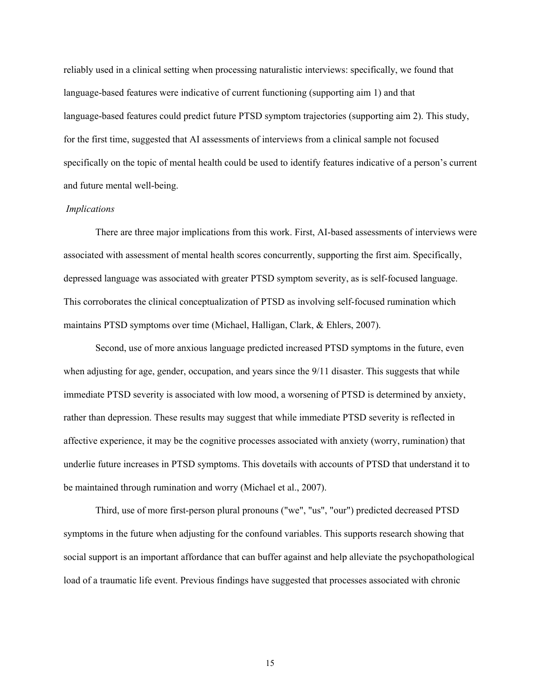reliably used in a clinical setting when processing naturalistic interviews: specifically, we found that language-based features were indicative of current functioning (supporting aim 1) and that language-based features could predict future PTSD symptom trajectories (supporting aim 2). This study, for the first time, suggested that AI assessments of interviews from a clinical sample not focused specifically on the topic of mental health could be used to identify features indicative of a person's current and future mental well-being.

#### *Implications*

There are three major implications from this work. First, AI-based assessments of interviews were associated with assessment of mental health scores concurrently, supporting the first aim. Specifically, depressed language was associated with greater PTSD symptom severity, as is self-focused language. This corroborates the clinical conceptualization of PTSD as involving self-focused rumination which maintains PTSD symptoms over time (Michael, Halligan, Clark, & Ehlers, 2007).

Second, use of more anxious language predicted increased PTSD symptoms in the future, even when adjusting for age, gender, occupation, and years since the 9/11 disaster. This suggests that while immediate PTSD severity is associated with low mood, a worsening of PTSD is determined by anxiety, rather than depression. These results may suggest that while immediate PTSD severity is reflected in affective experience, it may be the cognitive processes associated with anxiety (worry, rumination) that underlie future increases in PTSD symptoms. This dovetails with accounts of PTSD that understand it to be maintained through rumination and worry (Michael et al., 2007).

Third, use of more first-person plural pronouns ("we", "us", "our") predicted decreased PTSD symptoms in the future when adjusting for the confound variables. This supports research showing that social support is an important affordance that can buffer against and help alleviate the psychopathological load of a traumatic life event. Previous findings have suggested that processes associated with chronic

15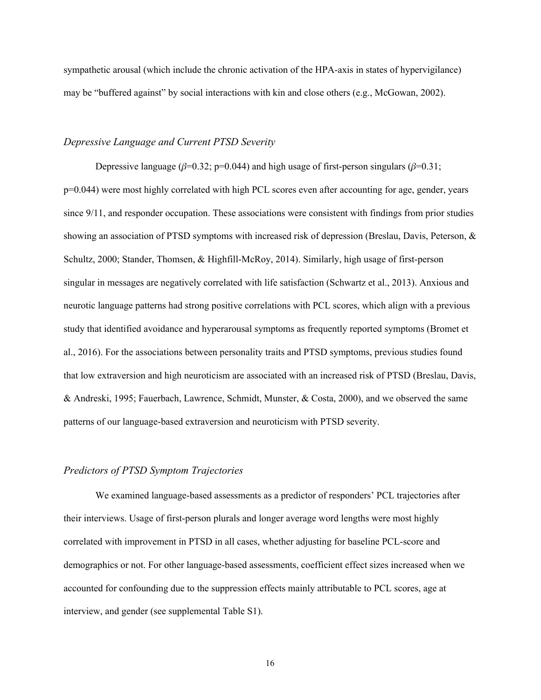sympathetic arousal (which include the chronic activation of the HPA-axis in states of hypervigilance) may be "buffered against" by social interactions with kin and close others (e.g., McGowan, 2002).

## *Depressive Language and Current PTSD Severity*

Depressive language ( $\beta$ =0.32; p=0.044) and high usage of first-person singulars ( $\beta$ =0.31; p=0.044) were most highly correlated with high PCL scores even after accounting for age, gender, years since 9/11, and responder occupation. These associations were consistent with findings from prior studies showing an association of PTSD symptoms with increased risk of depression (Breslau, Davis, Peterson, & Schultz, 2000; Stander, Thomsen, & Highfill-McRoy, 2014). Similarly, high usage of first-person singular in messages are negatively correlated with life satisfaction (Schwartz et al., 2013). Anxious and neurotic language patterns had strong positive correlations with PCL scores, which align with a previous study that identified avoidance and hyperarousal symptoms as frequently reported symptoms (Bromet et al., 2016). For the associations between personality traits and PTSD symptoms, previous studies found that low extraversion and high neuroticism are associated with an increased risk of PTSD (Breslau, Davis, & Andreski, 1995; Fauerbach, Lawrence, Schmidt, Munster, & Costa, 2000), and we observed the same patterns of our language-based extraversion and neuroticism with PTSD severity.

#### *Predictors of PTSD Symptom Trajectories*

We examined language-based assessments as a predictor of responders' PCL trajectories after their interviews. Usage of first-person plurals and longer average word lengths were most highly correlated with improvement in PTSD in all cases, whether adjusting for baseline PCL-score and demographics or not. For other language-based assessments, coefficient effect sizes increased when we accounted for confounding due to the suppression effects mainly attributable to PCL scores, age at interview, and gender (see supplemental Table S1).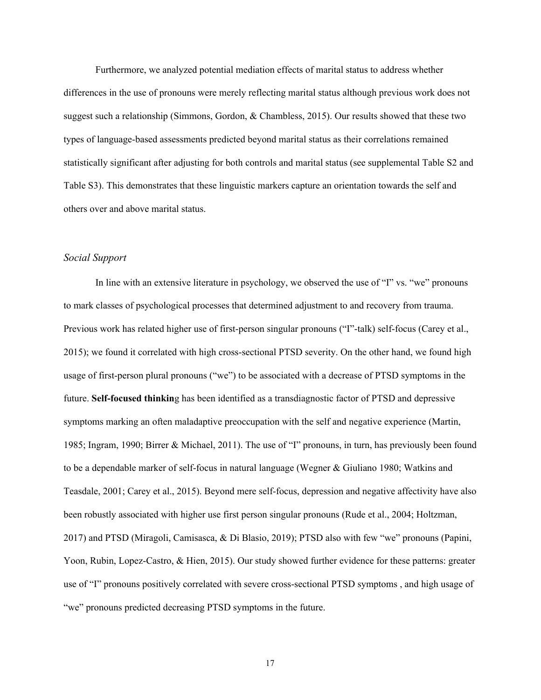Furthermore, we analyzed potential mediation effects of marital status to address whether differences in the use of pronouns were merely reflecting marital status although previous work does not suggest such a relationship (Simmons, Gordon, & Chambless, 2015). Our results showed that these two types of language-based assessments predicted beyond marital status as their correlations remained statistically significant after adjusting for both controls and marital status (see supplemental Table S2 and Table S3). This demonstrates that these linguistic markers capture an orientation towards the self and others over and above marital status.

## *Social Support*

In line with an extensive literature in psychology, we observed the use of "I" vs. "we" pronouns to mark classes of psychological processes that determined adjustment to and recovery from trauma. Previous work has related higher use of first-person singular pronouns ("I"-talk) self-focus (Carey et al., 2015); we found it correlated with high cross-sectional PTSD severity. On the other hand, we found high usage of first-person plural pronouns ("we") to be associated with a decrease of PTSD symptoms in the future. **Self-focused thinkin**g has been identified as a transdiagnostic factor of PTSD and depressive symptoms marking an often maladaptive preoccupation with the self and negative experience (Martin, 1985; Ingram, 1990; Birrer & Michael, 2011). The use of "I" pronouns, in turn, has previously been found to be a dependable marker of self-focus in natural language (Wegner & Giuliano 1980; Watkins and Teasdale, 2001; Carey et al., 2015). Beyond mere self-focus, depression and negative affectivity have also been robustly associated with higher use first person singular pronouns (Rude et al., 2004; Holtzman, 2017) and PTSD (Miragoli, Camisasca, & Di Blasio, 2019); PTSD also with few "we" pronouns (Papini, Yoon, Rubin, Lopez-Castro, & Hien, 2015). Our study showed further evidence for these patterns: greater use of "I" pronouns positively correlated with severe cross-sectional PTSD symptoms , and high usage of "we" pronouns predicted decreasing PTSD symptoms in the future.

17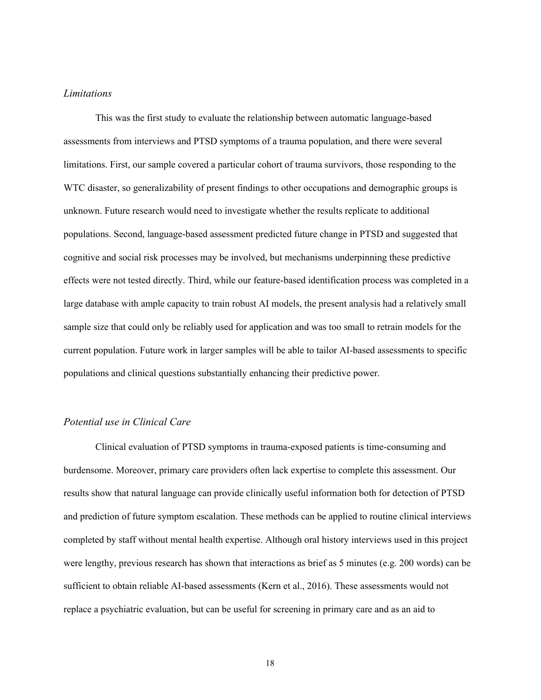## *Limitations*

This was the first study to evaluate the relationship between automatic language-based assessments from interviews and PTSD symptoms of a trauma population, and there were several limitations. First, our sample covered a particular cohort of trauma survivors, those responding to the WTC disaster, so generalizability of present findings to other occupations and demographic groups is unknown. Future research would need to investigate whether the results replicate to additional populations. Second, language-based assessment predicted future change in PTSD and suggested that cognitive and social risk processes may be involved, but mechanisms underpinning these predictive effects were not tested directly. Third, while our feature-based identification process was completed in a large database with ample capacity to train robust AI models, the present analysis had a relatively small sample size that could only be reliably used for application and was too small to retrain models for the current population. Future work in larger samples will be able to tailor AI-based assessments to specific populations and clinical questions substantially enhancing their predictive power.

## *Potential use in Clinical Care*

Clinical evaluation of PTSD symptoms in trauma-exposed patients is time-consuming and burdensome. Moreover, primary care providers often lack expertise to complete this assessment. Our results show that natural language can provide clinically useful information both for detection of PTSD and prediction of future symptom escalation. These methods can be applied to routine clinical interviews completed by staff without mental health expertise. Although oral history interviews used in this project were lengthy, previous research has shown that interactions as brief as 5 minutes (e.g. 200 words) can be sufficient to obtain reliable AI-based assessments (Kern et al., 2016). These assessments would not replace a psychiatric evaluation, but can be useful for screening in primary care and as an aid to

18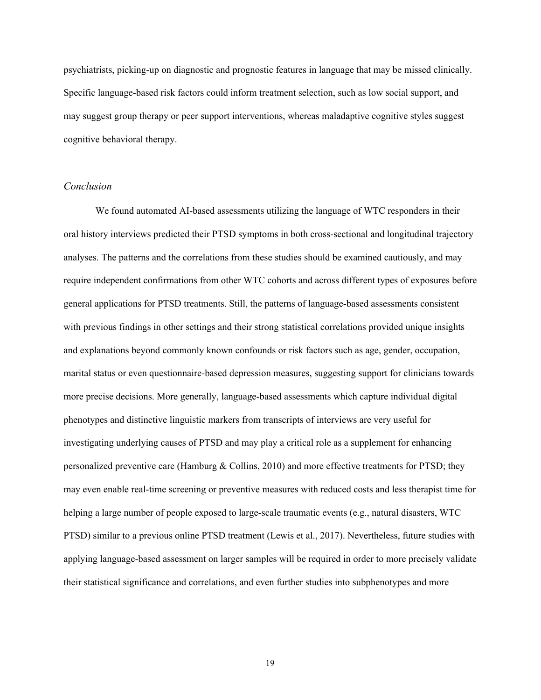psychiatrists, picking-up on diagnostic and prognostic features in language that may be missed clinically. Specific language-based risk factors could inform treatment selection, such as low social support, and may suggest group therapy or peer support interventions, whereas maladaptive cognitive styles suggest cognitive behavioral therapy.

#### *Conclusion*

We found automated AI-based assessments utilizing the language of WTC responders in their oral history interviews predicted their PTSD symptoms in both cross-sectional and longitudinal trajectory analyses. The patterns and the correlations from these studies should be examined cautiously, and may require independent confirmations from other WTC cohorts and across different types of exposures before general applications for PTSD treatments. Still, the patterns of language-based assessments consistent with previous findings in other settings and their strong statistical correlations provided unique insights and explanations beyond commonly known confounds or risk factors such as age, gender, occupation, marital status or even questionnaire-based depression measures, suggesting support for clinicians towards more precise decisions. More generally, language-based assessments which capture individual digital phenotypes and distinctive linguistic markers from transcripts of interviews are very useful for investigating underlying causes of PTSD and may play a critical role as a supplement for enhancing personalized preventive care (Hamburg & Collins, 2010) and more effective treatments for PTSD; they may even enable real-time screening or preventive measures with reduced costs and less therapist time for helping a large number of people exposed to large-scale traumatic events (e.g., natural disasters, WTC PTSD) similar to a previous online PTSD treatment (Lewis et al., 2017). Nevertheless, future studies with applying language-based assessment on larger samples will be required in order to more precisely validate their statistical significance and correlations, and even further studies into subphenotypes and more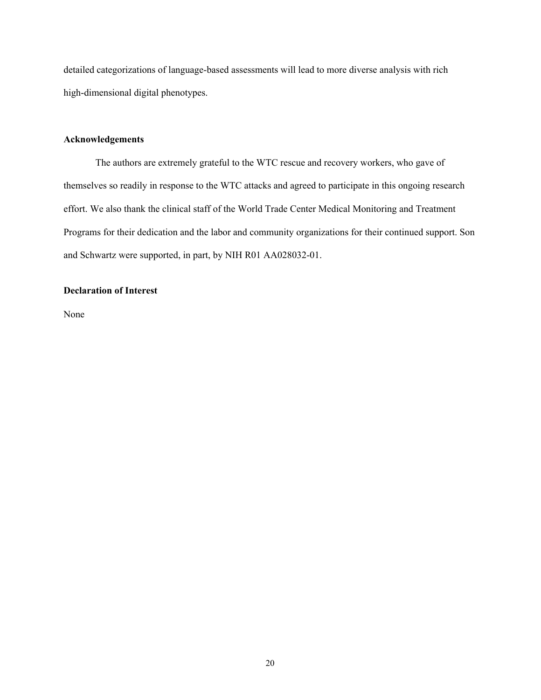detailed categorizations of language-based assessments will lead to more diverse analysis with rich high-dimensional digital phenotypes.

## **Acknowledgements**

The authors are extremely grateful to the WTC rescue and recovery workers, who gave of themselves so readily in response to the WTC attacks and agreed to participate in this ongoing research effort. We also thank the clinical staff of the World Trade Center Medical Monitoring and Treatment Programs for their dedication and the labor and community organizations for their continued support. Son and Schwartz were supported, in part, by NIH R01 AA028032-01.

## **Declaration of Interest**

None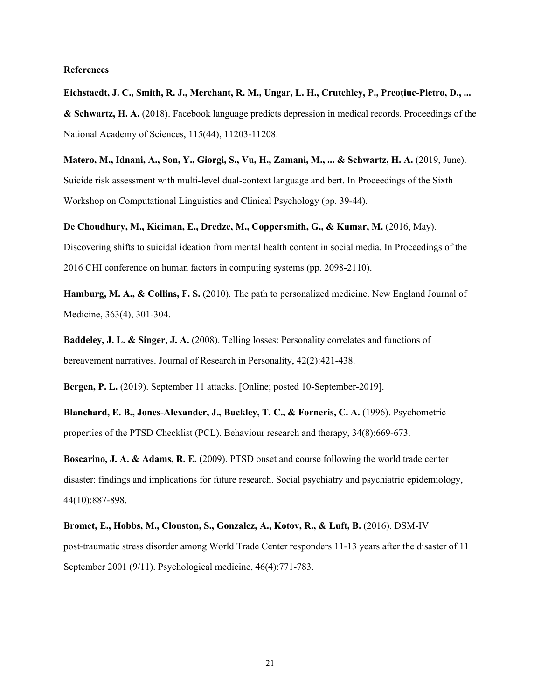#### **References**

**Eichstaedt, J. C., Smith, R. J., Merchant, R. M., Ungar, L. H., Crutchley, P., Preoţiuc-Pietro, D., ... & Schwartz, H. A.** (2018). Facebook language predicts depression in medical records. Proceedings of the National Academy of Sciences, 115(44), 11203-11208.

**Matero, M., Idnani, A., Son, Y., Giorgi, S., Vu, H., Zamani, M., ... & Schwartz, H. A.** (2019, June). Suicide risk assessment with multi-level dual-context language and bert. In Proceedings of the Sixth Workshop on Computational Linguistics and Clinical Psychology (pp. 39-44).

**De Choudhury, M., Kiciman, E., Dredze, M., Coppersmith, G., & Kumar, M.** (2016, May). Discovering shifts to suicidal ideation from mental health content in social media. In Proceedings of the 2016 CHI conference on human factors in computing systems (pp. 2098-2110).

**Hamburg, M. A., & Collins, F. S.** (2010). The path to personalized medicine. New England Journal of Medicine, 363(4), 301-304.

**Baddeley, J. L. & Singer, J. A.** (2008). Telling losses: Personality correlates and functions of bereavement narratives. Journal of Research in Personality, 42(2):421-438.

**Bergen, P. L.** (2019). September 11 attacks. [Online; posted 10-September-2019].

**Blanchard, E. B., Jones-Alexander, J., Buckley, T. C., & Forneris, C. A.** (1996). Psychometric properties of the PTSD Checklist (PCL). Behaviour research and therapy, 34(8):669-673.

**Boscarino, J. A. & Adams, R. E.** (2009). PTSD onset and course following the world trade center disaster: findings and implications for future research. Social psychiatry and psychiatric epidemiology, 44(10):887-898.

**Bromet, E., Hobbs, M., Clouston, S., Gonzalez, A., Kotov, R., & Luft, B.** (2016). DSM-IV post-traumatic stress disorder among World Trade Center responders 11-13 years after the disaster of 11 September 2001 (9/11). Psychological medicine, 46(4):771-783.

21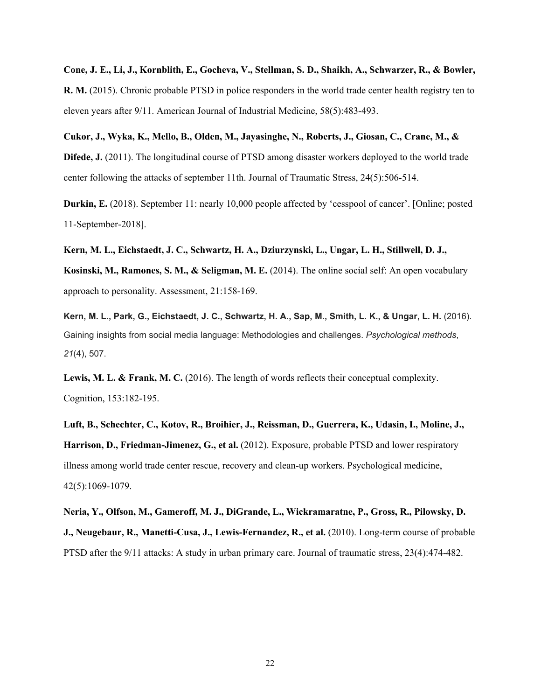Cone, J. E., Li, J., Kornblith, E., Gocheva, V., Stellman, S. D., Shaikh, A., Schwarzer, R., & Bowler, **R. M.** (2015). Chronic probable PTSD in police responders in the world trade center health registry ten to eleven years after 9/11. American Journal of Industrial Medicine, 58(5):483-493.

**Cukor, J., Wyka, K., Mello, B., Olden, M., Jayasinghe, N., Roberts, J., Giosan, C., Crane, M., & Difede, J.** (2011). The longitudinal course of PTSD among disaster workers deployed to the world trade center following the attacks of september 11th. Journal of Traumatic Stress, 24(5):506-514.

**Durkin, E.** (2018). September 11: nearly 10,000 people affected by 'cesspool of cancer'. [Online; posted 11-September-2018].

**Kern, M. L., Eichstaedt, J. C., Schwartz, H. A., Dziurzynski, L., Ungar, L. H., Stillwell, D. J., Kosinski, M., Ramones, S. M., & Seligman, M. E.** (2014). The online social self: An open vocabulary approach to personality. Assessment, 21:158-169.

Kern, M. L., Park, G., Eichstaedt, J. C., Schwartz, H. A., Sap, M., Smith, L. K., & Ungar, L. H. (2016). Gaining insights from social media language: Methodologies and challenges. *Psychological methods*, *21*(4), 507.

**Lewis, M. L. & Frank, M. C.** (2016). The length of words reflects their conceptual complexity. Cognition, 153:182-195.

**Luft, B., Schechter, C., Kotov, R., Broihier, J., Reissman, D., Guerrera, K., Udasin, I., Moline, J., Harrison, D., Friedman-Jimenez, G., et al.** (2012). Exposure, probable PTSD and lower respiratory illness among world trade center rescue, recovery and clean-up workers. Psychological medicine, 42(5):1069-1079.

**Neria, Y., Olfson, M., Gameroff, M. J., DiGrande, L., Wickramaratne, P., Gross, R., Pilowsky, D. J., Neugebaur, R., Manetti-Cusa, J., Lewis-Fernandez, R., et al.** (2010). Long-term course of probable PTSD after the 9/11 attacks: A study in urban primary care. Journal of traumatic stress, 23(4):474-482.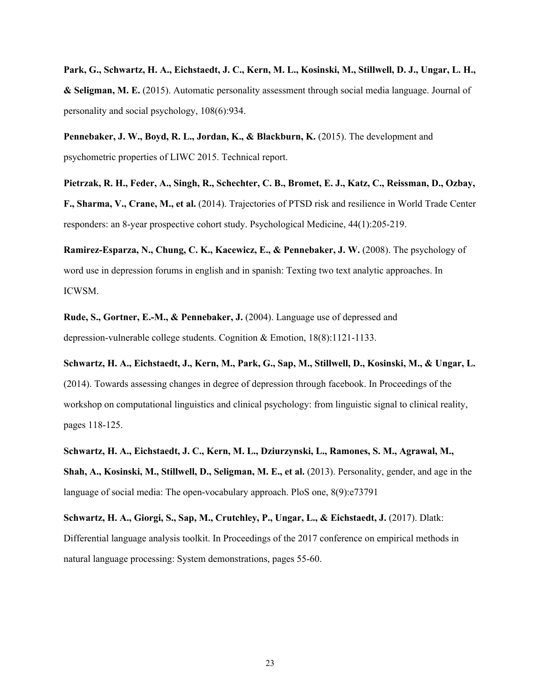Park, G., Schwartz, H. A., Eichstaedt, J. C., Kern, M. L., Kosinski, M., Stillwell, D. J., Ungar, L. H., **& Seligman, M. E.** (2015). Automatic personality assessment through social media language. Journal of personality and social psychology, 108(6):934.

**Pennebaker, J. W., Boyd, R. L., Jordan, K., & Blackburn, K.** (2015). The development and psychometric properties of LIWC 2015. Technical report.

Pietrzak, R. H., Feder, A., Singh, R., Schechter, C. B., Bromet, E. J., Katz, C., Reissman, D., Ozbay, **F., Sharma, V., Crane, M., et al.** (2014). Trajectories of PTSD risk and resilience in World Trade Center responders: an 8-year prospective cohort study. Psychological Medicine, 44(1):205-219.

**Ramirez-Esparza, N., Chung, C. K., Kacewicz, E., & Pennebaker, J. W.** (2008). The psychology of word use in depression forums in english and in spanish: Texting two text analytic approaches. In ICWSM.

**Rude, S., Gortner, E.-M., & Pennebaker, J.** (2004). Language use of depressed and depression-vulnerable college students. Cognition & Emotion, 18(8):1121-1133.

Schwartz, H. A., Eichstaedt, J., Kern, M., Park, G., Sap, M., Stillwell, D., Kosinski, M., & Ungar, L. (2014). Towards assessing changes in degree of depression through facebook. In Proceedings of the workshop on computational linguistics and clinical psychology: from linguistic signal to clinical reality, pages 118-125.

**Schwartz, H. A., Eichstaedt, J. C., Kern, M. L., Dziurzynski, L., Ramones, S. M., Agrawal, M., Shah, A., Kosinski, M., Stillwell, D., Seligman, M. E., et al.** (2013). Personality, gender, and age in the language of social media: The open-vocabulary approach. PloS one, 8(9):e73791

**Schwartz, H. A., Giorgi, S., Sap, M., Crutchley, P., Ungar, L., & Eichstaedt, J.** (2017). Dlatk: Differential language analysis toolkit. In Proceedings of the 2017 conference on empirical methods in natural language processing: System demonstrations, pages 55-60.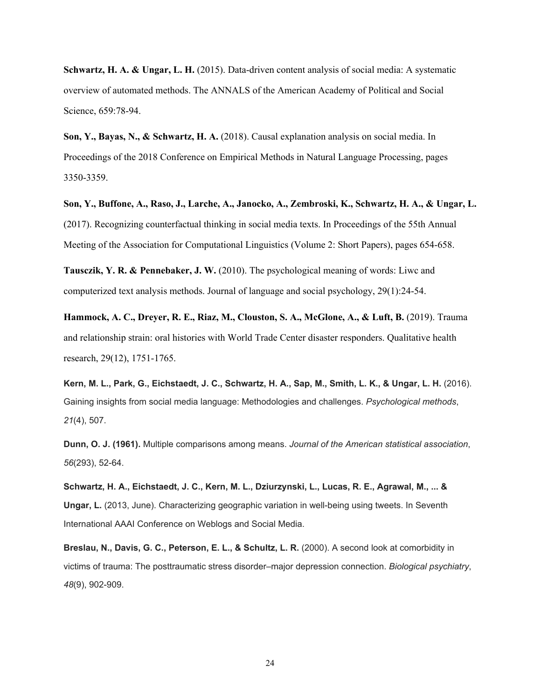**Schwartz, H. A. & Ungar, L. H.** (2015). Data-driven content analysis of social media: A systematic overview of automated methods. The ANNALS of the American Academy of Political and Social Science, 659:78-94.

**Son, Y., Bayas, N., & Schwartz, H. A.** (2018). Causal explanation analysis on social media. In Proceedings of the 2018 Conference on Empirical Methods in Natural Language Processing, pages 3350-3359.

Son, Y., Buffone, A., Raso, J., Larche, A., Janocko, A., Zembroski, K., Schwartz, H. A., & Ungar, L. (2017). Recognizing counterfactual thinking in social media texts. In Proceedings of the 55th Annual Meeting of the Association for Computational Linguistics (Volume 2: Short Papers), pages 654-658.

**Tausczik, Y. R. & Pennebaker, J. W.** (2010). The psychological meaning of words: Liwc and computerized text analysis methods. Journal of language and social psychology, 29(1):24-54.

**Hammock, A. C., Dreyer, R. E., Riaz, M., Clouston, S. A., McGlone, A., & Luft, B.** (2019). Trauma and relationship strain: oral histories with World Trade Center disaster responders. Qualitative health research, 29(12), 1751-1765.

Kern, M. L., Park, G., Eichstaedt, J. C., Schwartz, H. A., Sap, M., Smith, L. K., & Ungar, L. H. (2016). Gaining insights from social media language: Methodologies and challenges. *Psychological methods*, *21*(4), 507.

**Dunn, O. J. (1961).** Multiple comparisons among means. *Journal of the American statistical association*, *56*(293), 52-64.

**Schwartz, H. A., Eichstaedt, J. C., Kern, M. L., Dziurzynski, L., Lucas, R. E., Agrawal, M., ... & Ungar, L.** (2013, June). Characterizing geographic variation in well-being using tweets. In Seventh International AAAI Conference on Weblogs and Social Media.

**Breslau, N., Davis, G. C., Peterson, E. L., & Schultz, L. R.** (2000). A second look at comorbidity in victims of trauma: The posttraumatic stress disorder–major depression connection. *Biological psychiatry*, *48*(9), 902-909.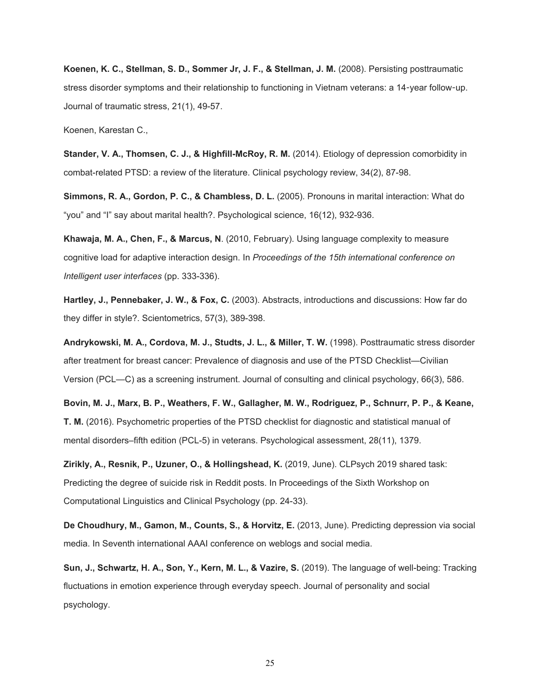**Koenen, K. C., Stellman, S. D., Sommer Jr, J. F., & Stellman, J. M.** (2008). Persisting posttraumatic stress disorder symptoms and their relationship to functioning in Vietnam veterans: a 14-year follow-up. Journal of traumatic stress, 21(1), 49-57.

Koenen, Karestan C.,

**Stander, V. A., Thomsen, C. J., & Highfill-McRoy, R. M.** (2014). Etiology of depression comorbidity in combat-related PTSD: a review of the literature. Clinical psychology review, 34(2), 87-98.

**Simmons, R. A., Gordon, P. C., & Chambless, D. L.** (2005). Pronouns in marital interaction: What do "you" and "I" say about marital health?. Psychological science, 16(12), 932-936.

**Khawaja, M. A., Chen, F., & Marcus, N**. (2010, February). Using language complexity to measure cognitive load for adaptive interaction design. In *Proceedings of the 15th international conference on Intelligent user interfaces* (pp. 333-336).

**Hartley, J., Pennebaker, J. W., & Fox, C.** (2003). Abstracts, introductions and discussions: How far do they differ in style?. Scientometrics, 57(3), 389-398.

**Andrykowski, M. A., Cordova, M. J., Studts, J. L., & Miller, T. W.** (1998). Posttraumatic stress disorder after treatment for breast cancer: Prevalence of diagnosis and use of the PTSD Checklist—Civilian Version (PCL—C) as a screening instrument. Journal of consulting and clinical psychology, 66(3), 586.

Bovin, M. J., Marx, B. P., Weathers, F. W., Gallagher, M. W., Rodriguez, P., Schnurr, P. P., & Keane, **T. M.** (2016). Psychometric properties of the PTSD checklist for diagnostic and statistical manual of mental disorders–fifth edition (PCL-5) in veterans. Psychological assessment, 28(11), 1379.

**Zirikly, A., Resnik, P., Uzuner, O., & Hollingshead, K.** (2019, June). CLPsych 2019 shared task: Predicting the degree of suicide risk in Reddit posts. In Proceedings of the Sixth Workshop on Computational Linguistics and Clinical Psychology (pp. 24-33).

**De Choudhury, M., Gamon, M., Counts, S., & Horvitz, E.** (2013, June). Predicting depression via social media. In Seventh international AAAI conference on weblogs and social media.

**Sun, J., Schwartz, H. A., Son, Y., Kern, M. L., & Vazire, S.** (2019). The language of well-being: Tracking fluctuations in emotion experience through everyday speech. Journal of personality and social psychology.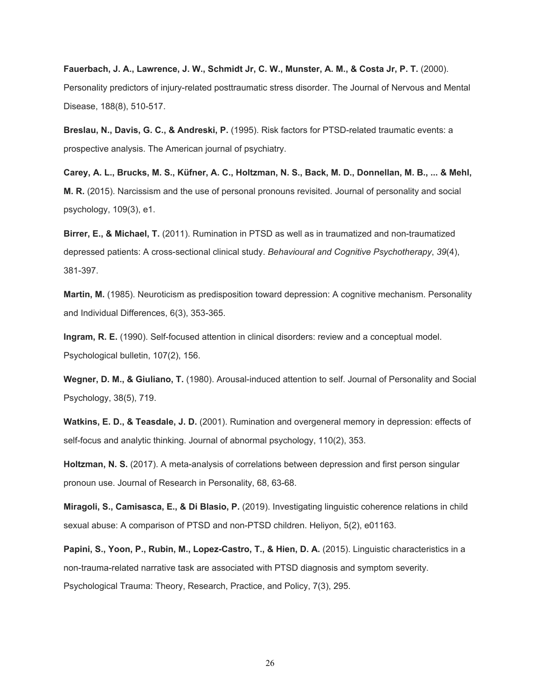**Fauerbach, J. A., Lawrence, J. W., Schmidt Jr, C. W., Munster, A. M., & Costa Jr, P. T.** (2000). Personality predictors of injury-related posttraumatic stress disorder. The Journal of Nervous and Mental Disease, 188(8), 510-517.

**Breslau, N., Davis, G. C., & Andreski, P.** (1995). Risk factors for PTSD-related traumatic events: a prospective analysis. The American journal of psychiatry.

Carey, A. L., Brucks, M. S., Küfner, A. C., Holtzman, N. S., Back, M. D., Donnellan, M. B., ... & Mehl, **M. R.** (2015). Narcissism and the use of personal pronouns revisited. Journal of personality and social psychology, 109(3), e1.

**Birrer, E., & Michael, T.** (2011). Rumination in PTSD as well as in traumatized and non-traumatized depressed patients: A cross-sectional clinical study. *Behavioural and Cognitive Psychotherapy*, *39*(4), 381-397.

**Martin, M.** (1985). Neuroticism as predisposition toward depression: A cognitive mechanism. Personality and Individual Differences, 6(3), 353-365.

**Ingram, R. E.** (1990). Self-focused attention in clinical disorders: review and a conceptual model. Psychological bulletin, 107(2), 156.

**Wegner, D. M., & Giuliano, T.** (1980). Arousal-induced attention to self. Journal of Personality and Social Psychology, 38(5), 719.

**Watkins, E. D., & Teasdale, J. D.** (2001). Rumination and overgeneral memory in depression: effects of self-focus and analytic thinking. Journal of abnormal psychology, 110(2), 353.

**Holtzman, N. S.** (2017). A meta-analysis of correlations between depression and first person singular pronoun use. Journal of Research in Personality, 68, 63-68.

**Miragoli, S., Camisasca, E., & Di Blasio, P.** (2019). Investigating linguistic coherence relations in child sexual abuse: A comparison of PTSD and non-PTSD children. Heliyon, 5(2), e01163.

**Papini, S., Yoon, P., Rubin, M., Lopez-Castro, T., & Hien, D. A.** (2015). Linguistic characteristics in a non-trauma-related narrative task are associated with PTSD diagnosis and symptom severity. Psychological Trauma: Theory, Research, Practice, and Policy, 7(3), 295.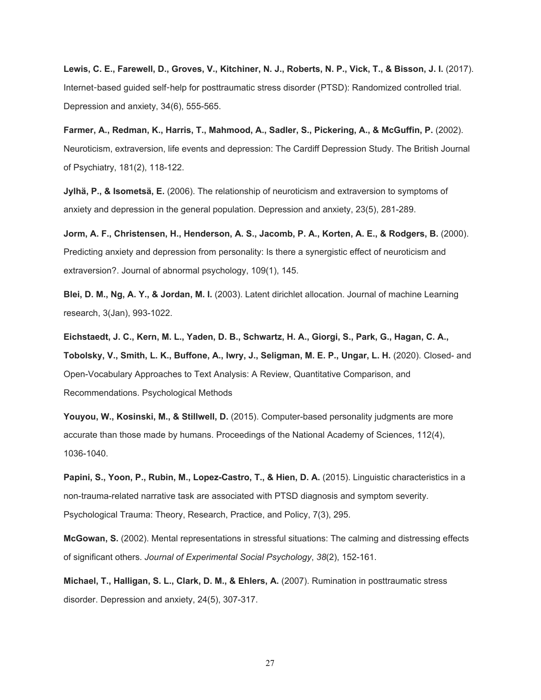Lewis, C. E., Farewell, D., Groves, V., Kitchiner, N. J., Roberts, N. P., Vick, T., & Bisson, J. I. (2017). Internet-based guided self-help for posttraumatic stress disorder (PTSD): Randomized controlled trial. Depression and anxiety, 34(6), 555-565.

**Farmer, A., Redman, K., Harris, T., Mahmood, A., Sadler, S., Pickering, A., & McGuffin, P.** (2002). Neuroticism, extraversion, life events and depression: The Cardiff Depression Study. The British Journal of Psychiatry, 181(2), 118-122.

**Jylhä, P., & Isometsä, E.** (2006). The relationship of neuroticism and extraversion to symptoms of anxiety and depression in the general population. Depression and anxiety, 23(5), 281-289.

**Jorm, A. F., Christensen, H., Henderson, A. S., Jacomb, P. A., Korten, A. E., & Rodgers, B.** (2000). Predicting anxiety and depression from personality: Is there a synergistic effect of neuroticism and extraversion?. Journal of abnormal psychology, 109(1), 145.

**Blei, D. M., Ng, A. Y., & Jordan, M. I.** (2003). Latent dirichlet allocation. Journal of machine Learning research, 3(Jan), 993-1022.

Eichstaedt, J. C., Kern, M. L., Yaden, D. B., Schwartz, H. A., Giorgi, S., Park, G., Hagan, C. A., **Tobolsky, V., Smith, L. K., Buffone, A., Iwry, J., Seligman, M. E. P., Ungar, L. H.** (2020). Closed- and Open-Vocabulary Approaches to Text Analysis: A Review, Quantitative Comparison, and Recommendations. Psychological Methods

**Youyou, W., Kosinski, M., & Stillwell, D.** (2015). Computer-based personality judgments are more accurate than those made by humans. Proceedings of the National Academy of Sciences, 112(4), 1036-1040.

**Papini, S., Yoon, P., Rubin, M., Lopez-Castro, T., & Hien, D. A.** (2015). Linguistic characteristics in a non-trauma-related narrative task are associated with PTSD diagnosis and symptom severity. Psychological Trauma: Theory, Research, Practice, and Policy, 7(3), 295.

**McGowan, S.** (2002). Mental representations in stressful situations: The calming and distressing effects of significant others. *Journal of Experimental Social Psychology*, *38*(2), 152-161.

**Michael, T., Halligan, S. L., Clark, D. M., & Ehlers, A.** (2007). Rumination in posttraumatic stress disorder. Depression and anxiety, 24(5), 307-317.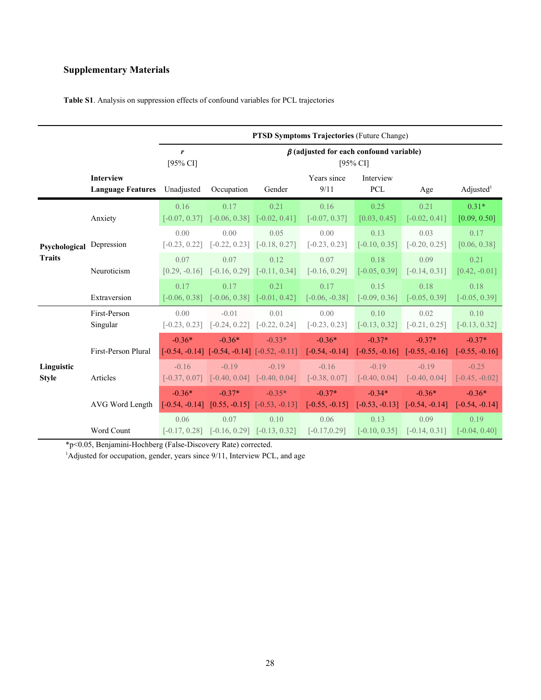# **Supplementary Materials**

|                                |                                              | <b>PTSD Symptoms Trajectories (Future Change)</b>                          |                                                                |                                              |                              |                              |                                               |                              |
|--------------------------------|----------------------------------------------|----------------------------------------------------------------------------|----------------------------------------------------------------|----------------------------------------------|------------------------------|------------------------------|-----------------------------------------------|------------------------------|
|                                |                                              | $\beta$ (adjusted for each confound variable)<br>r<br>[95% CI]<br>[95% CI] |                                                                |                                              |                              |                              |                                               |                              |
|                                | <b>Interview</b><br><b>Language Features</b> | Unadjusted                                                                 | Occupation                                                     | Gender                                       | Years since<br>9/11          | Interview<br><b>PCL</b>      | Age                                           | Adjusted <sup>1</sup>        |
| Psychological<br><b>Traits</b> | Anxiety                                      | 0.16<br>$[-0.07, 0.37]$                                                    | 0.17                                                           | 0.21<br>$[-0.06, 0.38]$ $[-0.02, 0.41]$      | 0.16<br>$[-0.07, 0.37]$      | 0.25<br>[0.03, 0.45]         | 0.21<br>$[-0.02, 0.41]$                       | $0.31*$<br>[0.09, 0.50]      |
|                                | Depression                                   | 0.00<br>$[-0.23, 0.22]$                                                    | 0.00<br>$[-0.22, 0.23]$                                        | 0.05<br>$[-0.18, 0.27]$                      | 0.00<br>$[-0.23, 0.23]$      | 0.13<br>$[-0.10, 0.35]$      | 0.03<br>$[-0.20, 0.25]$                       | 0.17<br>[0.06, 0.38]         |
|                                | Neuroticism                                  | 0.07<br>$[0.29, -0.16]$                                                    | 0.07<br>$[-0.16, 0.29]$ $[-0.11, 0.34]$                        | 0.12                                         | 0.07<br>$[-0.16, 0.29]$      | 0.18<br>$[-0.05, 0.39]$      | 0.09<br>$[-0.14, 0.31]$                       | 0.21<br>$[0.42, -0.01]$      |
|                                | Extraversion                                 | 0.17<br>$[-0.06, 0.38]$                                                    | 0.17                                                           | 0.21<br>$[-0.06, 0.38]$ $[-0.01, 0.42]$      | 0.17<br>$[-0.06, -0.38]$     | 0.15<br>$[-0.09, 0.36]$      | 0.18<br>$[-0.05, 0.39]$                       | 0.18<br>$[-0.05, 0.39]$      |
| Linguistic<br><b>Style</b>     | First-Person<br>Singular                     | 0.00<br>$[-0.23, 0.23]$                                                    | $-0.01$<br>$[-0.24, 0.22]$ $[-0.22, 0.24]$                     | 0.01                                         | 0.00<br>$[-0.23, 0.23]$      | 0.10<br>$[-0.13, 0.32]$      | 0.02<br>$[-0.21, 0.25]$                       | 0.10<br>$[-0.13, 0.32]$      |
|                                | First-Person Plural                          | $-0.36*$                                                                   | $-0.36*$<br>$[-0.54, -0.14]$ $[-0.54, -0.14]$ $[-0.52, -0.11]$ | $-0.33*$                                     | $-0.36*$<br>$[-0.54, -0.14]$ | $-0.37*$<br>$[-0.55, -0.16]$ | $-0.37*$<br>$[-0.55, -0.16]$                  | $-0.37*$<br>$[-0.55, -0.16]$ |
|                                | Articles                                     | $-0.16$<br>$[-0.37, 0.07]$                                                 | $-0.19$<br>$[-0.40, 0.04]$                                     | $-0.19$<br>$[-0.40, 0.04]$                   | $-0.16$<br>$[-0.38, 0.07]$   | $-0.19$<br>$[-0.40, 0.04]$   | $-0.19$<br>$[-0.40, 0.04]$                    | $-0.25$<br>$[-0.45, -0.02]$  |
|                                | AVG Word Length                              | $-0.36*$<br>$[-0.54, -0.14]$                                               | $-0.37*$                                                       | $-0.35*$<br>$[0.55, -0.15]$ $[-0.53, -0.13]$ | $-0.37*$<br>$[-0.55, -0.15]$ | $-0.34*$                     | $-0.36*$<br>$[-0.53, -0.13]$ $[-0.54, -0.14]$ | $-0.36*$<br>$[-0.54, -0.14]$ |
|                                | Word Count                                   | 0.06<br>$[-0.17, 0.28]$                                                    | 0.07<br>$[-0.16, 0.29]$ $[-0.13, 0.32]$                        | 0.10                                         | 0.06<br>$[-0.17, 0.29]$      | 0.13<br>$[-0.10, 0.35]$      | 0.09<br>$[-0.14, 0.31]$                       | 0.19<br>$[-0.04, 0.40]$      |

**Table S1**. Analysis on suppression effects of confound variables for PCL trajectories

\*p<0.05, Benjamini-Hochberg (False-Discovery Rate) corrected.

<sup>1</sup>Adjusted for occupation, gender, years since 9/11, Interview PCL, and age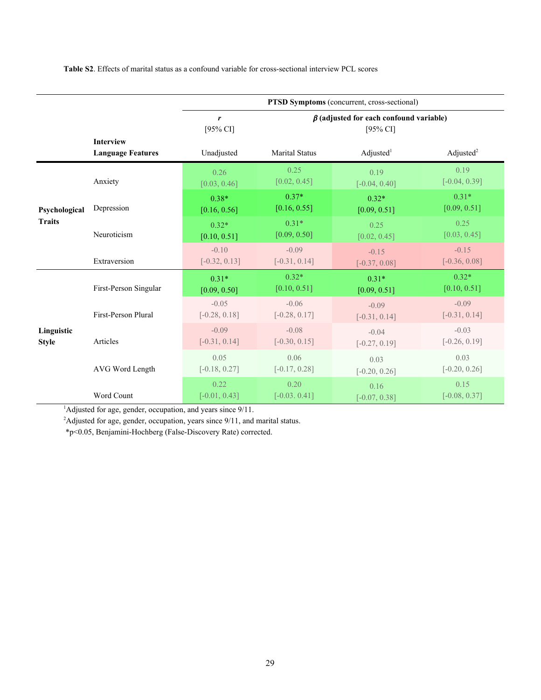**Table S2**. Effects of marital status as a confound variable for cross-sectional interview PCL scores

|                                |                                              | PTSD Symptoms (concurrent, cross-sectional)                                   |                            |                            |                            |  |  |
|--------------------------------|----------------------------------------------|-------------------------------------------------------------------------------|----------------------------|----------------------------|----------------------------|--|--|
|                                |                                              | $\beta$ (adjusted for each confound variable)<br>r<br>[95% CI]<br>$[95\%$ CI] |                            |                            |                            |  |  |
|                                | <b>Interview</b><br><b>Language Features</b> | Unadjusted                                                                    | <b>Marital Status</b>      | $\text{Adjusted}^1$        | Adjusted $2$               |  |  |
|                                | Anxiety                                      | 0.26<br>[0.03, 0.46]                                                          | 0.25<br>[0.02, 0.45]       | 0.19<br>$[-0.04, 0.40]$    | 0.19<br>$[-0.04, 0.39]$    |  |  |
| Psychological<br><b>Traits</b> | Depression                                   | $0.38*$<br>[0.16, 0.56]                                                       | $0.37*$<br>[0.16, 0.55]    | $0.32*$<br>[0.09, 0.51]    | $0.31*$<br>[0.09, 0.51]    |  |  |
|                                | Neuroticism                                  | $0.32*$<br>[0.10, 0.51]                                                       | $0.31*$<br>[0.09, 0.50]    | 0.25<br>[0.02, 0.45]       | 0.25<br>[0.03, 0.45]       |  |  |
|                                | Extraversion                                 | $-0.10$<br>$[-0.32, 0.13]$                                                    | $-0.09$<br>$[-0.31, 0.14]$ | $-0.15$<br>$[-0.37, 0.08]$ | $-0.15$<br>$[-0.36, 0.08]$ |  |  |
|                                | First-Person Singular                        | $0.31*$<br>[0.09, 0.50]                                                       | $0.32*$<br>[0.10, 0.51]    | $0.31*$<br>[0.09, 0.51]    | $0.32*$<br>[0.10, 0.51]    |  |  |
| Linguistic<br><b>Style</b>     | First-Person Plural                          | $-0.05$<br>$[-0.28, 0.18]$                                                    | $-0.06$<br>$[-0.28, 0.17]$ | $-0.09$<br>$[-0.31, 0.14]$ | $-0.09$<br>$[-0.31, 0.14]$ |  |  |
|                                | Articles                                     | $-0.09$<br>$[-0.31, 0.14]$                                                    | $-0.08$<br>$[-0.30, 0.15]$ | $-0.04$<br>$[-0.27, 0.19]$ | $-0.03$<br>$[-0.26, 0.19]$ |  |  |
|                                | AVG Word Length                              | 0.05<br>$[-0.18, 0.27]$                                                       | 0.06<br>$[-0.17, 0.28]$    | 0.03<br>$[-0.20, 0.26]$    | 0.03<br>$[-0.20, 0.26]$    |  |  |
|                                | Word Count                                   | 0.22<br>$[-0.01, 0.43]$                                                       | 0.20<br>$[-0.03, 0.41]$    | 0.16<br>$[-0.07, 0.38]$    | 0.15<br>$[-0.08, 0.37]$    |  |  |

<sup>1</sup>Adjusted for age, gender, occupation, and years since 9/11.

<sup>2</sup>Adjusted for age, gender, occupation, years since 9/11, and marital status.

\*p<0.05, Benjamini-Hochberg (False-Discovery Rate) corrected.